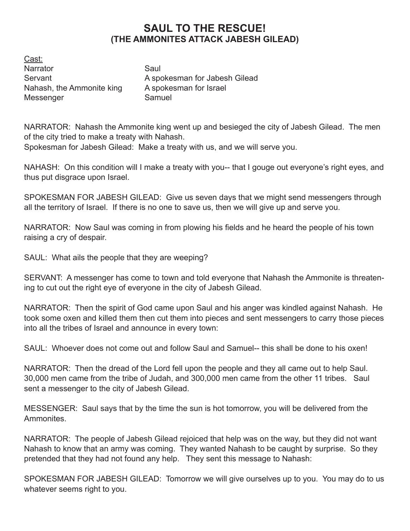## **SAUL TO THE RESCUE! (THE AMMONITES ATTACK JABESH GILEAD)**

Cast: Narrator Saul Nahash, the Ammonite king A spokesman for Israel Messenger Samuel

Servant **A** spokesman for Jabesh Gilead

NARRATOR: Nahash the Ammonite king went up and besieged the city of Jabesh Gilead. The men of the city tried to make a treaty with Nahash.

Spokesman for Jabesh Gilead: Make a treaty with us, and we will serve you.

Nahash: On this condition will I make a treaty with you-- that I gouge out everyone's right eyes, and thus put disgrace upon Israel.

Spokesman for Jabesh Gilead: Give us seven days that we might send messengers through all the territory of Israel. If there is no one to save us, then we will give up and serve you.

NARRATOR: Now Saul was coming in from plowing his fields and he heard the people of his town raising a cry of despair.

SAUL: What ails the people that they are weeping?

SERVANT: A messenger has come to town and told everyone that Nahash the Ammonite is threatening to cut out the right eye of everyone in the city of Jabesh Gilead.

NARRATOR: Then the spirit of God came upon Saul and his anger was kindled against Nahash. He took some oxen and killed them then cut them into pieces and sent messengers to carry those pieces into all the tribes of Israel and announce in every town:

Saul: Whoever does not come out and follow Saul and Samuel-- this shall be done to his oxen!

NARRATOR: Then the dread of the Lord fell upon the people and they all came out to help Saul. 30,000 men came from the tribe of Judah, and 300,000 men came from the other 11 tribes. Saul sent a messenger to the city of Jabesh Gilead.

MESSENGER: Saul says that by the time the sun is hot tomorrow, you will be delivered from the Ammonites.

NARRATOR: The people of Jabesh Gilead rejoiced that help was on the way, but they did not want Nahash to know that an army was coming. They wanted Nahash to be caught by surprise. So they pretended that they had not found any help. They sent this message to Nahash:

SPOKESMAN FOR JABESH GILEAD: Tomorrow we will give ourselves up to you. You may do to us whatever seems right to you.